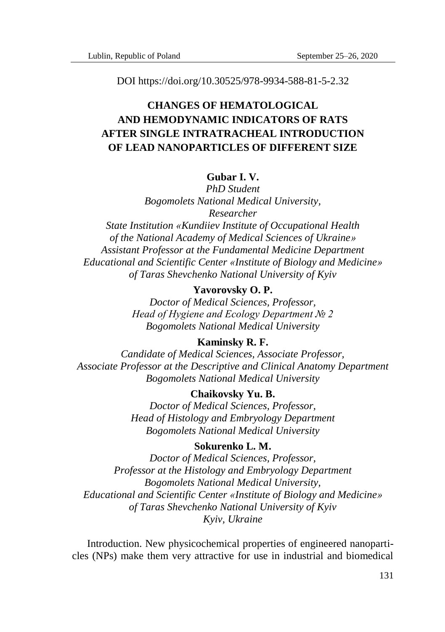DOI https://doi.org/10.30525/978-9934-588-81-5-2.32

# **CHANGES OF HEMATOLOGICAL AND HEMODYNAMIC INDICATORS OF RATS AFTER SINGLE INTRATRACHEAL INTRODUCTION OF LEAD NANOPARTICLES OF DIFFERENT SIZE**

## **Gubar I. V.**

*PhD Student Bogomolets National Medical University, Researcher*

*State Institution «Kundiiev Institute of Occupational Health of the National Academy of Medical Sciences of Ukraine» Assistant Professor at the Fundamental Medicine Department Educational and Scientific Center «Institute of Biology and Medicine» of Taras Shevchenko National University of Kyiv*

# **Yavorovsky O. P.**

*Doctor of Medical Sciences, Professor, Head of Hygiene and Ecology Department № 2 Bogomolets National Medical University*

### **Kaminsky R. F.**

*Candidate of Medical Sciences, Associate Professor, Associate Professor at the Descriptive and Clinical Anatomy Department Bogomolets National Medical University*

#### **Chaikovsky Yu. B.**

*Doctor of Medical Sciences, Professor, Head of Histology and Embryology Department Bogomolets National Medical University*

### **Sokurenko L. M.**

*Doctor of Medical Sciences, Professor, Professor at the Histology and Embryology Department Bogomolets National Medical University, Educational and Scientific Center «Institute of Biology and Medicine» of Taras Shevchenko National University of Kyiv Kyiv, Ukraine*

Introduction. New physicochemical properties of engineered nanoparticles (NPs) make them very attractive for use in industrial and biomedical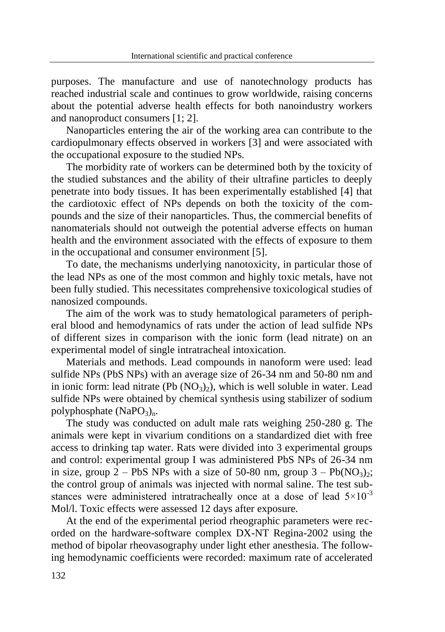purposes. The manufacture and use of nanotechnology products has reached industrial scale and continues to grow worldwide, raising concerns about the potential adverse health effects for both nanoindustry workers and nanoproduct consumers [1; 2].

Nanoparticles entering the air of the working area can contribute to the cardiopulmonary effects observed in workers [3] and were associated with the occupational exposure to the studied NPs.

The morbidity rate of workers can be determined both by the toxicity of the studied substances and the ability of their ultrafine particles to deeply penetrate into body tissues. It has been experimentally established [4] that the cardiotoxic effect of NPs depends on both the toxicity of the compounds and the size of their nanoparticles. Thus, the commercial benefits of nanomaterials should not outweigh the potential adverse effects on human health and the environment associated with the effects of exposure to them in the occupational and consumer environment [5].

To date, the mechanisms underlying nanotoxicity, in particular those of the lead NPs as one of the most common and highly toxic metals, have not been fully studied. This necessitates comprehensive toxicological studies of nanosized compounds.

The aim of the work was to study hematological parameters of peripheral blood and hemodynamics of rats under the action of lead sulfide NPs of different sizes in comparison with the ionic form (lead nitrate) on an experimental model of single intratracheal intoxication.

Materials and methods. Lead compounds in nanoform were used: lead sulfide NPs (PbS NPs) with an average size of 26-34 nm and 50-80 nm and in ionic form: lead nitrate (Pb  $(NO_3)$ ), which is well soluble in water. Lead sulfide NPs were obtained by chemical synthesis using stabilizer of sodium polyphosphate  $(NaPO<sub>3</sub>)<sub>n</sub>$ .

The study was conducted on adult male rats weighing 250-280 g. The animals were kept in vivarium conditions on a standardized diet with free access to drinking tap water. Rats were divided into 3 experimental groups and control: experimental group I was administered PbS NPs of 26-34 nm in size, group 2 – PbS NPs with a size of 50-80 nm, group  $3 - Pb(NQ_3)_{2}$ ; the control group of animals was injected with normal saline. The test substances were administered intratracheally once at a dose of lead  $5\times10^{-3}$ Mol/l. Toxic effects were assessed 12 days after exposure.

At the end of the experimental period rheographic parameters were recorded on the hardware-software complex DX-NT Regina-2002 using the method of bipolar rheovasography under light ether anesthesia. The following hemodynamic coefficients were recorded: maximum rate of accelerated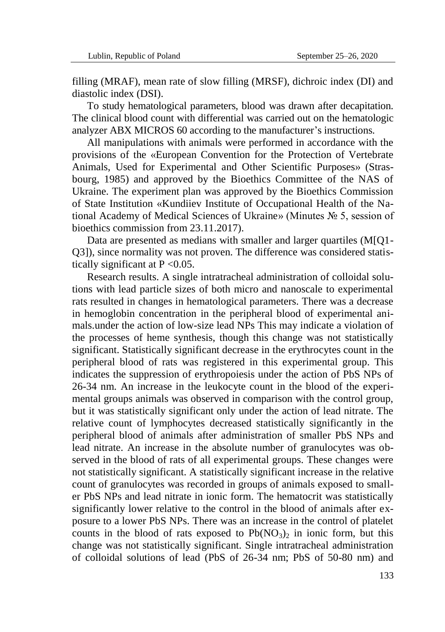filling (MRAF), mean rate of slow filling (MRSF), dichroic index (DI) and diastolic index (DSI).

To study hematological parameters, blood was drawn after decapitation. The clinical blood count with differential was carried out on the hematologic analyzer ABX MICROS 60 according to the manufacturer's instructions.

All manipulations with animals were performed in accordance with the provisions of the «European Convention for the Protection of Vertebrate Animals, Used for Experimental and Other Scientific Purposes» (Strasbourg, 1985) and approved by the Bioethics Committee of the NAS of Ukraine. The experiment plan was approved by the Bioethics Commission of State Institution «Kundiiev Institute of Occupational Health of the National Academy of Medical Sciences of Ukraine» (Minutes № 5, session of bioethics commission from 23.11.2017).

Data are presented as medians with smaller and larger quartiles (M[Q1- Q3]), since normality was not proven. The difference was considered statistically significant at  $P < 0.05$ .

Research results. A single intratracheal administration of colloidal solutions with lead particle sizes of both micro and nanoscale to experimental rats resulted in changes in hematological parameters. There was a decrease in hemoglobin concentration in the peripheral blood of experimental animals.under the action of low-size lead NPs This may indicate a violation of the processes of heme synthesis, though this change was not statistically significant. Statistically significant decrease in the erythrocytes count in the peripheral blood of rats was registered in this experimental group. This indicates the suppression of erythropoiesis under the action of PbS NPs of 26-34 nm. An increase in the leukocyte count in the blood of the experimental groups animals was observed in comparison with the control group, but it was statistically significant only under the action of lead nitrate. The relative count of lymphocytes decreased statistically significantly in the peripheral blood of animals after administration of smaller PbS NPs and lead nitrate. An increase in the absolute number of granulocytes was observed in the blood of rats of all experimental groups. These changes were not statistically significant. A statistically significant increase in the relative count of granulocytes was recorded in groups of animals exposed to smaller PbS NPs and lead nitrate in ionic form. The hematocrit was statistically significantly lower relative to the control in the blood of animals after exposure to a lower PbS NPs. There was an increase in the control of platelet counts in the blood of rats exposed to  $Pb(NO_3)$  in ionic form, but this change was not statistically significant. Single intratracheal administration of colloidal solutions of lead (PbS of 26-34 nm; PbS of 50-80 nm) and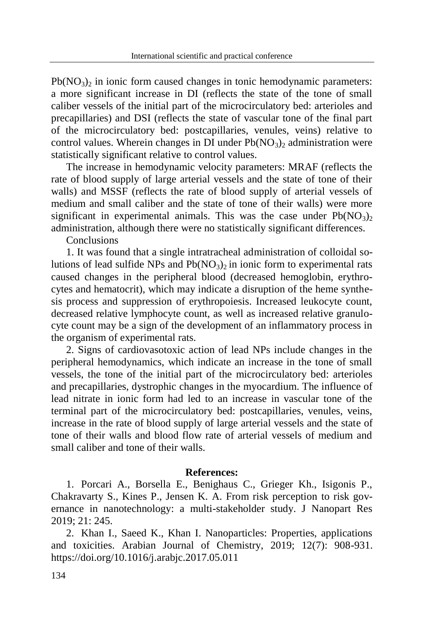$Pb(NO<sub>3</sub>)<sub>2</sub>$  in ionic form caused changes in tonic hemodynamic parameters: a more significant increase in DI (reflects the state of the tone of small caliber vessels of the initial part of the microcirculatory bed: arterioles and precapillaries) and DSI (reflects the state of vascular tone of the final part of the microcirculatory bed: postcapillaries, venules, veins) relative to control values. Wherein changes in DI under  $Pb(NO<sub>3</sub>)<sub>2</sub>$  administration were statistically significant relative to control values.

The increase in hemodynamic velocity parameters: MRAF (reflects the rate of blood supply of large arterial vessels and the state of tone of their walls) and MSSF (reflects the rate of blood supply of arterial vessels of medium and small caliber and the state of tone of their walls) were more significant in experimental animals. This was the case under  $Pb(NO_3)$ administration, although there were no statistically significant differences.

Conclusions

1. It was found that a single intratracheal administration of colloidal solutions of lead sulfide NPs and  $Pb(NO_3)$  in ionic form to experimental rats caused changes in the peripheral blood (decreased hemoglobin, erythrocytes and hematocrit), which may indicate a disruption of the heme synthesis process and suppression of erythropoiesis. Increased leukocyte count, decreased relative lymphocyte count, as well as increased relative granulocyte count may be a sign of the development of an inflammatory process in the organism of experimental rats.

2. Signs of cardiovasotoxic action of lead NPs include changes in the peripheral hemodynamics, which indicate an increase in the tone of small vessels, the tone of the initial part of the microcirculatory bed: arterioles and precapillaries, dystrophic changes in the myocardium. The influence of lead nitrate in ionic form had led to an increase in vascular tone of the terminal part of the microcirculatory bed: postcapillaries, venules, veins, increase in the rate of blood supply of large arterial vessels and the state of tone of their walls and blood flow rate of arterial vessels of medium and small caliber and tone of their walls.

#### **References:**

1. Porcari A., Borsella E., Benighaus C., Grieger Kh., Isigonis P., Chakravarty S., Kines P., Jensen K. A. From risk perception to risk governance in nanotechnology: a multi-stakeholder study. J Nanopart Res 2019; 21: 245.

2. Khan I., Saeed K., Khan I. Nanoparticles: Properties, applications and toxicities. Arabian Journal of Chemistry, 2019; 12(7): 908-931. https://doi.org/10.1016/j.arabjc.2017.05.011